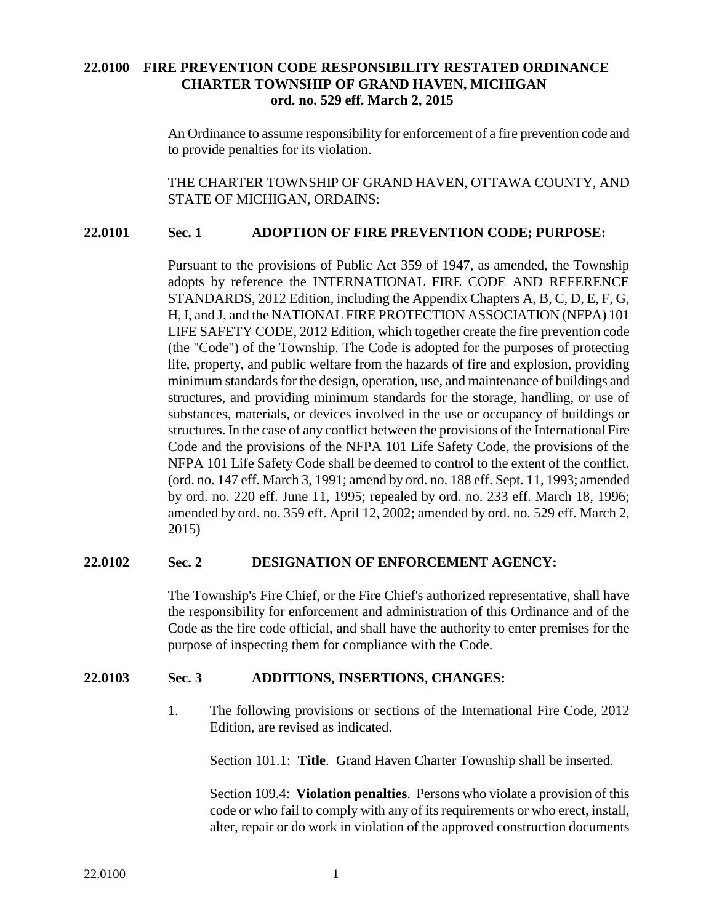# **22.0100 FIRE PREVENTION CODE RESPONSIBILITY RESTATED ORDINANCE CHARTER TOWNSHIP OF GRAND HAVEN, MICHIGAN ord. no. 529 eff. March 2, 2015**

An Ordinance to assume responsibility for enforcement of a fire prevention code and to provide penalties for its violation.

THE CHARTER TOWNSHIP OF GRAND HAVEN, OTTAWA COUNTY, AND STATE OF MICHIGAN, ORDAINS:

### **22.0101 Sec. 1 ADOPTION OF FIRE PREVENTION CODE; PURPOSE:**

Pursuant to the provisions of Public Act 359 of 1947, as amended, the Township adopts by reference the INTERNATIONAL FIRE CODE AND REFERENCE STANDARDS, 2012 Edition, including the Appendix Chapters A, B, C, D, E, F, G, H, I, and J, and the NATIONAL FIRE PROTECTION ASSOCIATION (NFPA) 101 LIFE SAFETY CODE, 2012 Edition, which together create the fire prevention code (the "Code") of the Township. The Code is adopted for the purposes of protecting life, property, and public welfare from the hazards of fire and explosion, providing minimum standards for the design, operation, use, and maintenance of buildings and structures, and providing minimum standards for the storage, handling, or use of substances, materials, or devices involved in the use or occupancy of buildings or structures. In the case of any conflict between the provisions of the International Fire Code and the provisions of the NFPA 101 Life Safety Code, the provisions of the NFPA 101 Life Safety Code shall be deemed to control to the extent of the conflict. (ord. no. 147 eff. March 3, 1991; amend by ord. no. 188 eff. Sept. 11, 1993; amended by ord. no. 220 eff. June 11, 1995; repealed by ord. no. 233 eff. March 18, 1996; amended by ord. no. 359 eff. April 12, 2002; amended by ord. no. 529 eff. March 2, 2015)

#### **22.0102 Sec. 2 DESIGNATION OF ENFORCEMENT AGENCY:**

The Township's Fire Chief, or the Fire Chief's authorized representative, shall have the responsibility for enforcement and administration of this Ordinance and of the Code as the fire code official, and shall have the authority to enter premises for the purpose of inspecting them for compliance with the Code.

#### **22.0103 Sec. 3 ADDITIONS, INSERTIONS, CHANGES:**

1. The following provisions or sections of the International Fire Code, 2012 Edition, are revised as indicated.

Section 101.1: **Title**. Grand Haven Charter Township shall be inserted.

Section 109.4: **Violation penalties**. Persons who violate a provision of this code or who fail to comply with any of its requirements or who erect, install, alter, repair or do work in violation of the approved construction documents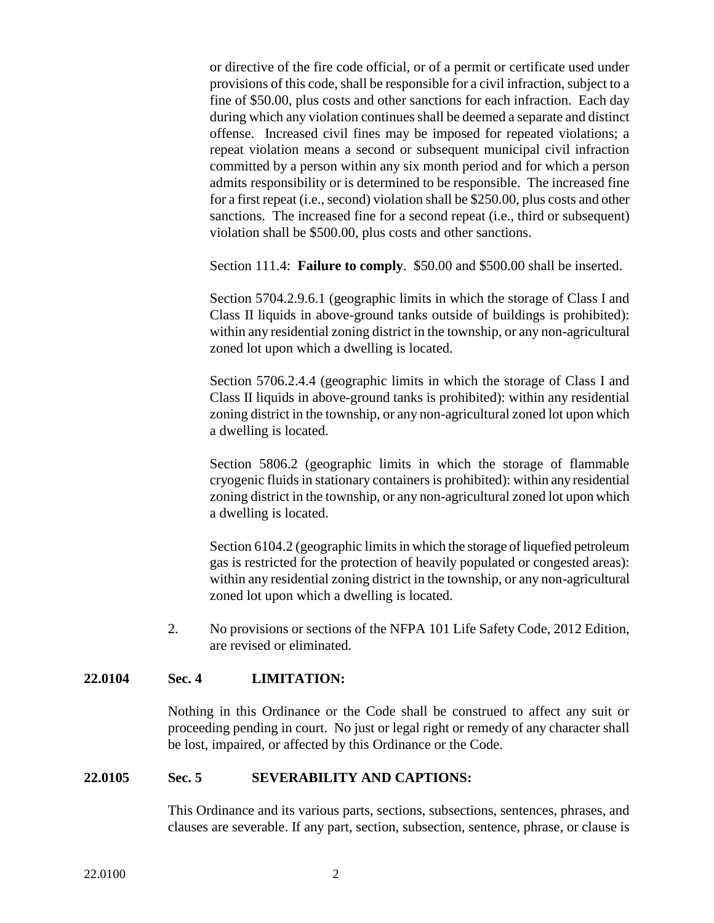or directive of the fire code official, or of a permit or certificate used under provisions of this code, shall be responsible for a civil infraction, subject to a fine of \$50.00, plus costs and other sanctions for each infraction. Each day during which any violation continues shall be deemed a separate and distinct offense. Increased civil fines may be imposed for repeated violations; a repeat violation means a second or subsequent municipal civil infraction committed by a person within any six month period and for which a person admits responsibility or is determined to be responsible. The increased fine for a first repeat (i.e., second) violation shall be \$250.00, plus costs and other sanctions. The increased fine for a second repeat (i.e., third or subsequent) violation shall be \$500.00, plus costs and other sanctions.

Section 111.4: **Failure to comply**. \$50.00 and \$500.00 shall be inserted.

Section 5704.2.9.6.1 (geographic limits in which the storage of Class I and Class II liquids in above-ground tanks outside of buildings is prohibited): within any residential zoning district in the township, or any non-agricultural zoned lot upon which a dwelling is located.

Section 5706.2.4.4 (geographic limits in which the storage of Class I and Class II liquids in above-ground tanks is prohibited): within any residential zoning district in the township, or any non-agricultural zoned lot upon which a dwelling is located.

Section 5806.2 (geographic limits in which the storage of flammable cryogenic fluids in stationary containers is prohibited): within any residential zoning district in the township, or any non-agricultural zoned lot upon which a dwelling is located.

Section 6104.2 (geographic limits in which the storage of liquefied petroleum gas is restricted for the protection of heavily populated or congested areas): within any residential zoning district in the township, or any non-agricultural zoned lot upon which a dwelling is located.

2. No provisions or sections of the NFPA 101 Life Safety Code, 2012 Edition, are revised or eliminated.

## **22.0104 Sec. 4 LIMITATION:**

Nothing in this Ordinance or the Code shall be construed to affect any suit or proceeding pending in court. No just or legal right or remedy of any character shall be lost, impaired, or affected by this Ordinance or the Code.

#### **22.0105 Sec. 5 SEVERABILITY AND CAPTIONS:**

This Ordinance and its various parts, sections, subsections, sentences, phrases, and clauses are severable. If any part, section, subsection, sentence, phrase, or clause is